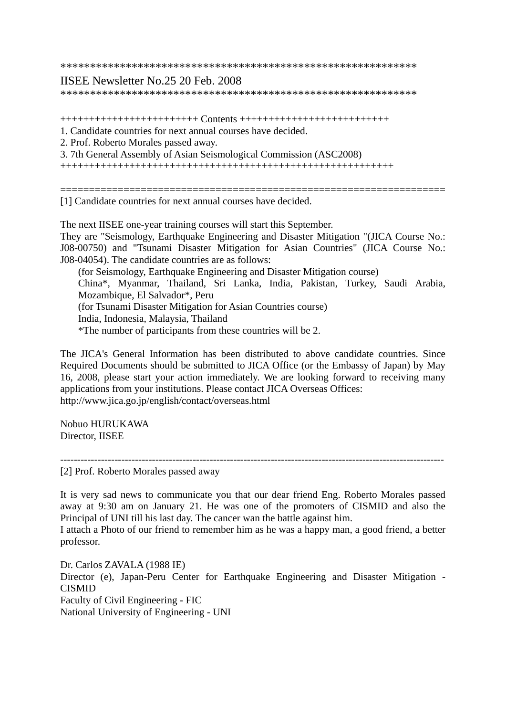\*\*\*\*\*\*\*\*\*\*\*\*\*\*\*\*\*\*\*\*\*\*\*\*\*\*\*\*\*\*\*\*\*\*\*\*\*\*\*\*\*\*\*\*\*\*\*\*\*\*\*\*\*\*\*\*\*\*\*\*

## IISEE Newsletter No.25 20 Feb. 2008

\*\*\*\*\*\*\*\*\*\*\*\*\*\*\*\*\*\*\*\*\*\*\*\*\*\*\*\*\*\*\*\*\*\*\*\*\*\*\*\*\*\*\*\*\*\*\*\*\*\*\*\*\*\*\*\*\*\*\*\*

++++++++++++++++++++++++ Contents ++++++++++++++++++++++++++

- 1. Candidate countries for next annual courses have decided.
- 2. Prof. Roberto Morales passed away.
- 3. 7th General Assembly of Asian Seismological Commission (ASC2008)

++++++++++++++++++++++++++++++++++++++++++++++++++++++++++

===================================================================

[1] Candidate countries for next annual courses have decided.

The next IISEE one-year training courses will start this September.

They are "Seismology, Earthquake Engineering and Disaster Mitigation "(JICA Course No.: J08-00750) and "Tsunami Disaster Mitigation for Asian Countries" (JICA Course No.: J08-04054). The candidate countries are as follows:

(for Seismology, Earthquake Engineering and Disaster Mitigation course)

China\*, Myanmar, Thailand, Sri Lanka, India, Pakistan, Turkey, Saudi Arabia, Mozambique, El Salvador\*, Peru

(for Tsunami Disaster Mitigation for Asian Countries course)

India, Indonesia, Malaysia, Thailand

\*The number of participants from these countries will be 2.

The JICA's General Information has been distributed to above candidate countries. Since Required Documents should be submitted to JICA Office (or the Embassy of Japan) by May 16, 2008, please start your action immediately. We are looking forward to receiving many applications from your institutions. Please contact JICA Overseas Offices: http://www.jica.go.jp/english/contact/overseas.html

Nobuo HURUKAWA Director, IISEE

-----------------------------------------------------------------------------------------------------------------

[2] Prof. Roberto Morales passed away

It is very sad news to communicate you that our dear friend Eng. Roberto Morales passed away at 9:30 am on January 21. He was one of the promoters of CISMID and also the Principal of UNI till his last day. The cancer wan the battle against him.

I attach a Photo of our friend to remember him as he was a happy man, a good friend, a better professor.

Dr. Carlos ZAVALA (1988 IE) Director (e), Japan-Peru Center for Earthquake Engineering and Disaster Mitigation - CISMID Faculty of Civil Engineering - FIC National University of Engineering - UNI